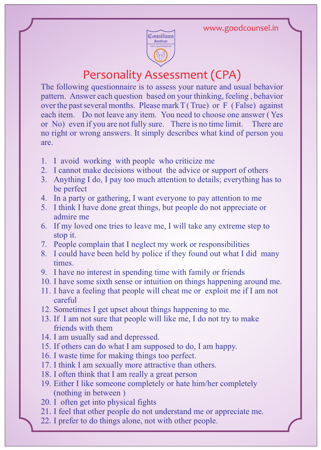

## Personality Assessment (CPA)

The following questionnaire is to assess your nature and usual behavior pattern. Answer each question based on your thinking, feeling , behavior over the past several months. Please mark  $T(True)$  or F (False) against each item. Do not leave any item. You need to choose one answer ( Yes or No) even if you are not fully sure. There is no time limit. There are no right or wrong answers. It simply describes what kind of person you are.

- 1. I avoid working with people who criticize me
- 2. I cannot make decisions without the advice or support of others
- 3. Anything I do, I pay too much attention to details; everything has to be perfect
- 4. In a party or gathering, I want everyone to pay attention to me
- 5. I think I have done great things, but people do not appreciate or admire me
- 6. If my loved one tries to leave me, I will take any extreme step to stop it.
- 7. People complain that I neglect my work or responsibilities
- 8. I could have been held by police if they found out what I did many times.
- 9. I have no interest in spending time with family or friends
- 10. I have some sixth sense or intuition on things happening around me.
- 11. I have a feeling that people will cheat me or exploit me if I am not careful
- 12. Sometimes I get upset about things happening to me.
- 13. If I am not sure that people will like me, I do not try to make friends with them
- 14. I am usually sad and depressed.
- 15. If others can do what I am supposed to do, I am happy.
- 16. I waste time for making things too perfect.
- 17. I think I am sexually more attractive than others.
- 18. I often think that I am really a great person
- 19. Either I like someone completely or hate him/her completely (nothing in between )
- 20. I often get into physical fights
- 21. I feel that other people do not understand me or appreciate me.
- 22. I prefer to do things alone, not with other people.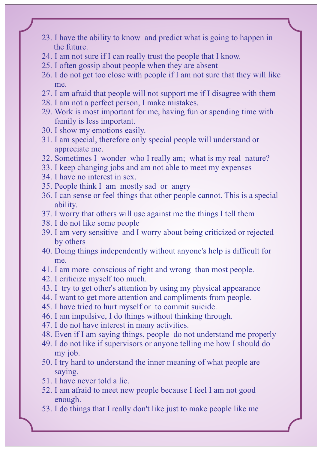- 23. I have the ability to know and predict what is going to happen in the future.
- 24. I am not sure if I can really trust the people that I know.
- 25. I often gossip about people when they are absent
- 26. I do not get too close with people if I am not sure that they will like me.
- 27. I am afraid that people will not support me if I disagree with them
- 28. I am not a perfect person, I make mistakes.
- 29. Work is most important for me, having fun or spending time with family is less important.
- 30. I show my emotions easily.
- 31. I am special, therefore only special people will understand or appreciate me.
- 32. Sometimes I wonder who I really am; what is my real nature?
- 33. I keep changing jobs and am not able to meet my expenses
- 34. I have no interest in sex.
- 35. People think I am mostly sad or angry
- 36. I can sense or feel things that other people cannot. This is a special ability.
- 37. I worry that others will use against me the things I tell them
- 38. I do not like some people
- 39. I am very sensitive and I worry about being criticized or rejected by others
- 40. Doing things independently without anyone's help is difficult for me.
- 41. I am more conscious of right and wrong than most people.
- 42. I criticize myself too much.
- 43. I try to get other's attention by using my physical appearance
- 44. I want to get more attention and compliments from people.
- 45. I have tried to hurt myself or to commit suicide.
- 46. I am impulsive, I do things without thinking through.
- 47. I do not have interest in many activities.
- 48. Even if I am saying things, people do not understand me properly
- 49. I do not like if supervisors or anyone telling me how I should do my job.
- 50. I try hard to understand the inner meaning of what people are saying.
- 51. I have never told a lie.
- 52. I am afraid to meet new people because I feel I am not good enough.
- 53. I do things that I really don't like just to make people like me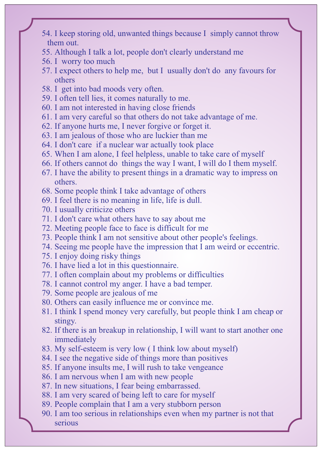- 54. I keep storing old, unwanted things because I simply cannot throw them out.
- 55. Although I talk a lot, people don't clearly understand me
- 56. I worry too much
- 57. I expect others to help me, but I usually don't do any favours for others
- 58. I get into bad moods very often.
- 59. I often tell lies, it comes naturally to me.
- 60. I am not interested in having close friends
- 61. I am very careful so that others do not take advantage of me.
- 62. If anyone hurts me, I never forgive or forget it.
- 63. I am jealous of those who are luckier than me
- 64. I don't care if a nuclear war actually took place
- 65. When I am alone, I feel helpless, unable to take care of myself
- 66. If others cannot do things the way I want, I will do I them myself.
- 67. I have the ability to present things in a dramatic way to impress on others.
- 68. Some people think I take advantage of others
- 69. I feel there is no meaning in life, life is dull.
- 70. I usually criticize others
- 71. I don't care what others have to say about me
- 72. Meeting people face to face is difficult for me
- 73. People think I am not sensitive about other people's feelings.
- 74. Seeing me people have the impression that I am weird or eccentric.
- 75. I enjoy doing risky things
- 76. I have lied a lot in this questionnaire.
- 77. I often complain about my problems or difficulties
- 78. I cannot control my anger. I have a bad temper.
- 79. Some people are jealous of me
- 80. Others can easily influence me or convince me.
- 81. I think I spend money very carefully, but people think I am cheap or stingy.
- 82. If there is an breakup in relationship, I will want to start another one immediately
- 83. My self-esteem is very low ( I think low about myself)
- 84. I see the negative side of things more than positives
- 85. If anyone insults me, I will rush to take vengeance
- 86. I am nervous when I am with new people
- 87. In new situations, I fear being embarrassed.
- 88. I am very scared of being left to care for myself
- 89. People complain that I am a very stubborn person
- 90. I am too serious in relationships even when my partner is not that serious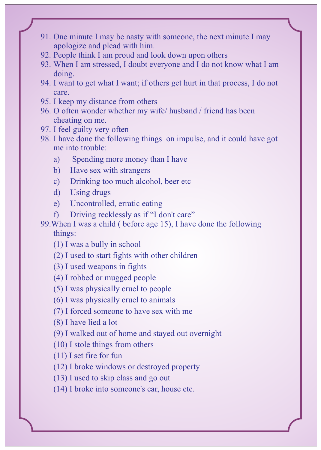- 91. One minute I may be nasty with someone, the next minute I may apologize and plead with him.
- 92. People think I am proud and look down upon others
- 93. When I am stressed, I doubt everyone and I do not know what I am doing.
- 94. I want to get what I want; if others get hurt in that process, I do not care.
- 95. I keep my distance from others
- 96. O often wonder whether my wife/ husband / friend has been cheating on me.
- 97. I feel guilty very often
- 98. I have done the following things on impulse, and it could have got me into trouble:
	- a) Spending more money than I have
	- b) Have sex with strangers
	- c) Drinking too much alcohol, beer etc
	- d) Using drugs
	- e) Uncontrolled, erratic eating
	- f) Driving recklessly as if "I don't care"

99.When I was a child ( before age 15), I have done the following things:

- (1) I was a bully in school
- (2) I used to start fights with other children
- (3) I used weapons in fights
- (4) I robbed or mugged people
- (5) I was physically cruel to people
- (6) I was physically cruel to animals
- (7) I forced someone to have sex with me
- (8) I have lied a lot
- (9) I walked out of home and stayed out overnight
- (10) I stole things from others
- (11) I set fire for fun
- (12) I broke windows or destroyed property
- (13) I used to skip class and go out
- (14) I broke into someone's car, house etc.